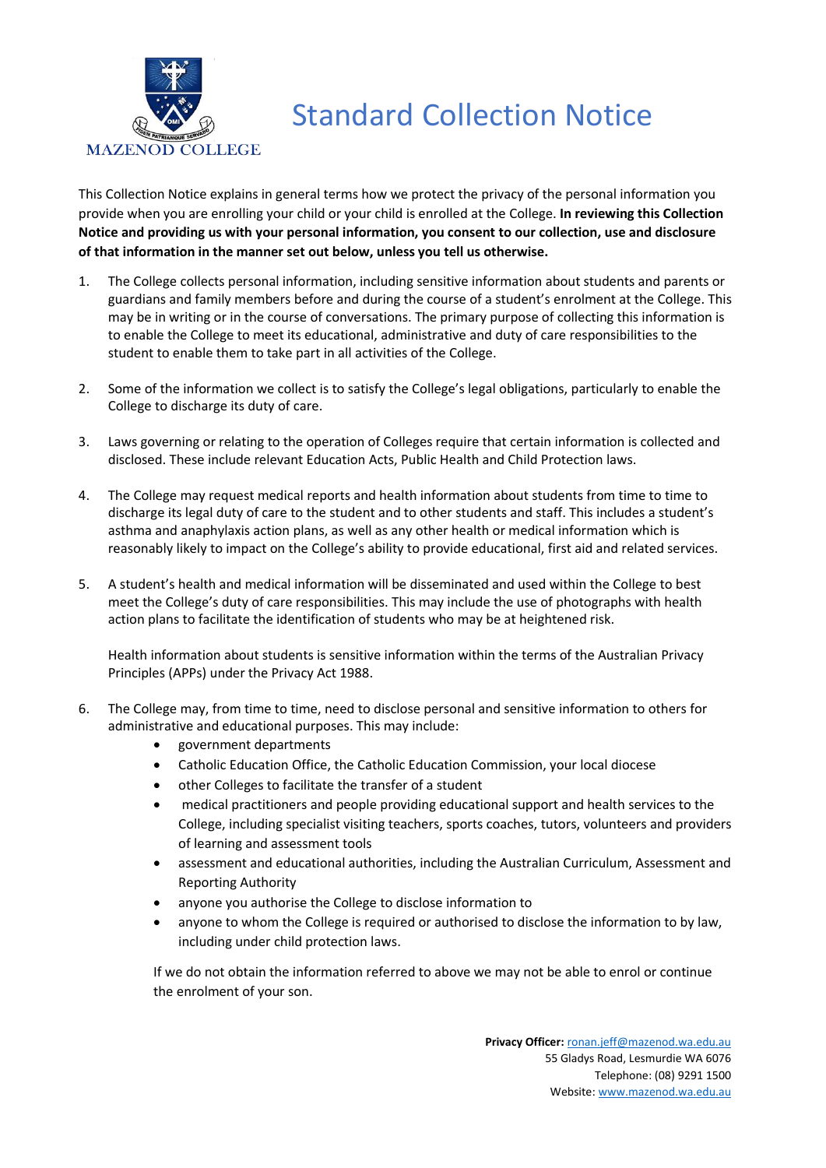

**Standard Collection Notice** 

This Collection Notice explains in general terms how we protect the privacy of the personal information you provide when you are enrolling your child or your child is enrolled at the College. **In reviewing this Collection Notice and providing us with your personal information, you consent to our collection, use and disclosure of that information in the manner set out below, unless you tell us otherwise.**

- 1. The College collects personal information, including sensitive information about students and parents or guardians and family members before and during the course of a student's enrolment at the College. This may be in writing or in the course of conversations. The primary purpose of collecting this information is to enable the College to meet its educational, administrative and duty of care responsibilities to the student to enable them to take part in all activities of the College.
- 2. Some of the information we collect is to satisfy the College's legal obligations, particularly to enable the College to discharge its duty of care.
- 3. Laws governing or relating to the operation of Colleges require that certain information is collected and disclosed. These include relevant Education Acts, Public Health and Child Protection laws.
- 4. The College may request medical reports and health information about students from time to time to discharge its legal duty of care to the student and to other students and staff. This includes a student's asthma and anaphylaxis action plans, as well as any other health or medical information which is reasonably likely to impact on the College's ability to provide educational, first aid and related services.
- 5. A student's health and medical information will be disseminated and used within the College to best meet the College's duty of care responsibilities. This may include the use of photographs with health action plans to facilitate the identification of students who may be at heightened risk.

Health information about students is sensitive information within the terms of the Australian Privacy Principles (APPs) under the Privacy Act 1988.

- 6. The College may, from time to time, need to disclose personal and sensitive information to others for administrative and educational purposes. This may include:
	- government departments
	- Catholic Education Office, the Catholic Education Commission, your local diocese
	- other Colleges to facilitate the transfer of a student
	- medical practitioners and people providing educational support and health services to the College, including specialist visiting teachers, sports coaches, tutors, volunteers and providers of learning and assessment tools
	- assessment and educational authorities, including the Australian Curriculum, Assessment and Reporting Authority
	- anyone you authorise the College to disclose information to
	- anyone to whom the College is required or authorised to disclose the information to by law, including under child protection laws.

If we do not obtain the information referred to above we may not be able to enrol or continue the enrolment of your son.